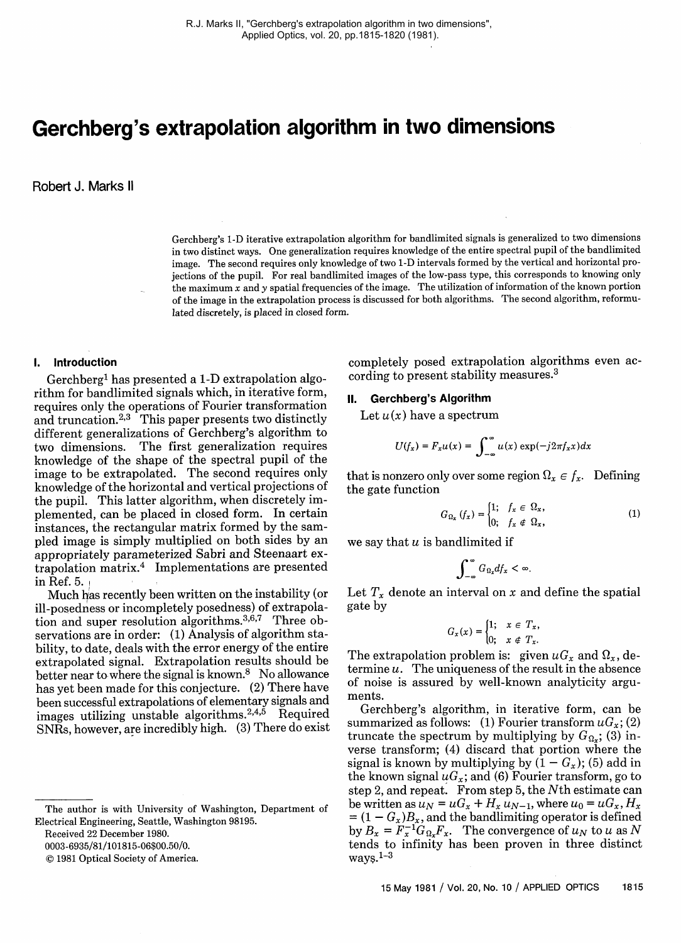# **Gerchberg's extrapolation algorithm in two dimensions**

Robert J. Marks 11

Gerchberg's 1-D iterative extrapolation algorithm for bandlimited signals is generalized to two dimensions in two distinct ways. One generalization requires knowledge of the entire spectral pupil of the bandlimited image. The second requires only knowledge of two 1-D intervals formed by the vertical and horizontal projections of the pupil. For real bandlimited images of the low-pass type, this corresponds to knowing only the maximum  $x$  and  $y$  spatial frequencies of the image. The utilization of information of the known portion of the image in the extrapolation process is discussed for both algorithms. The second algorithm, reformulated discretely, is placed in closed form.

## **1. Introduction**

Gerchberg<sup>1</sup> has presented a 1-D extrapolation algorithm for bandlimited signals which, in iterative form, requires only the operations of Fourier transformation and truncation. $2,3$  This paper presents two distinctly different generalizations of Gerchberg's algorithm to two dimensions. The first generalization requires knowledge of the shape of the spectral pupil of the image to be extrapolated. The second requires only knowledge of the horizontal and vertical projections of the pupil. This latter algorithm, when discretely implemented, can be placed in closed form. In certain instances, the rectangular matrix formed by the sampled image is simply multiplied on both sides by an appropriately parameterized Sabri and Steenaart extrapolation matrix.4 Implementations are presented in Ref. 5.

Much has recently been written on the instability (or ill-posedness or incompletely posedness) of extrapolation and super resolution algorithms.<sup>3,6,7</sup> Three observations are in order: (1) Analysis of algorithm stability, to date, deals with the error energy of the entire extrapolated signal. Extrapolation results should be better near to where the signal is known.<sup>8</sup> No allowance has yet been made for this conjecture. (2) There have been successful extrapolations of elementary signals and images utilizing unstable algorithms.<sup>2,4,5</sup> Required SNRs, however, are incredibly high. (3) There do exist

Received 22 December 1980.

0003-6935/81/101815-06\$00.50/0.

©0 1981 Optical Society of America.

completely posed extrapolation algorithms even according to present stability measures.3

## 11. **Gerchberg's Algorithm**

Let  $u(x)$  have a spectrum

$$
U(f_x) = F_x u(x) = \int_{-\infty}^{\infty} u(x) \exp(-j2\pi f_x x) dx
$$

that is nonzero only over some region  $\Omega_x \in f_x$ . Defining the gate function

$$
G_{\Omega_x} (f_x) = \begin{cases} 1; & f_x \in \Omega_x, \\ 0; & f_x \notin \Omega_x, \end{cases}
$$
 (1)

we say that  $u$  is bandlimited if

$$
\int_{-\infty}^{\infty}G_{\Omega_x}df_x<\infty.
$$

Let  $T_x$  denote an interval on x and define the spatial gate by

$$
G_x(x) = \begin{cases} 1; & x \in T_x, \\ 0; & x \notin T_x. \end{cases}
$$

The extrapolation problem is: given  $\mu G_x$  and  $\Omega_x$ , determine *u.* The uniqueness of the result in the absence of noise is assured by well-known analyticity arguments.

Gerchberg's algorithm, in iterative form, can be summarized as follows: (1) Fourier transform  $uG_x$ ; (2) truncate the spectrum by multiplying by  $G_{\Omega_x}$ ; (3) inverse transform; (4) discard that portion where the signal is known by multiplying by  $(1 - G_x)$ ; (5) add in the known signal  $uG_x$ ; and (6) Fourier transform, go to step 2, and repeat. From step 5, the Nth estimate can be written as  $u_N = uG_x + H_x u_{N-1}$ , where  $u_0 = uG_x, H_x$  $= (1 - G_x)B_x$ , and the bandlimiting operator is defined by  $B_x = F_x^{-1} G_{0x} F_x$ . The convergence of  $u_N$  to u as N tends to infinity has been proven in three distinct ways.1-3

The author is with University of Washington, Department of Electrical Engineering, Seattle, Washington 98195.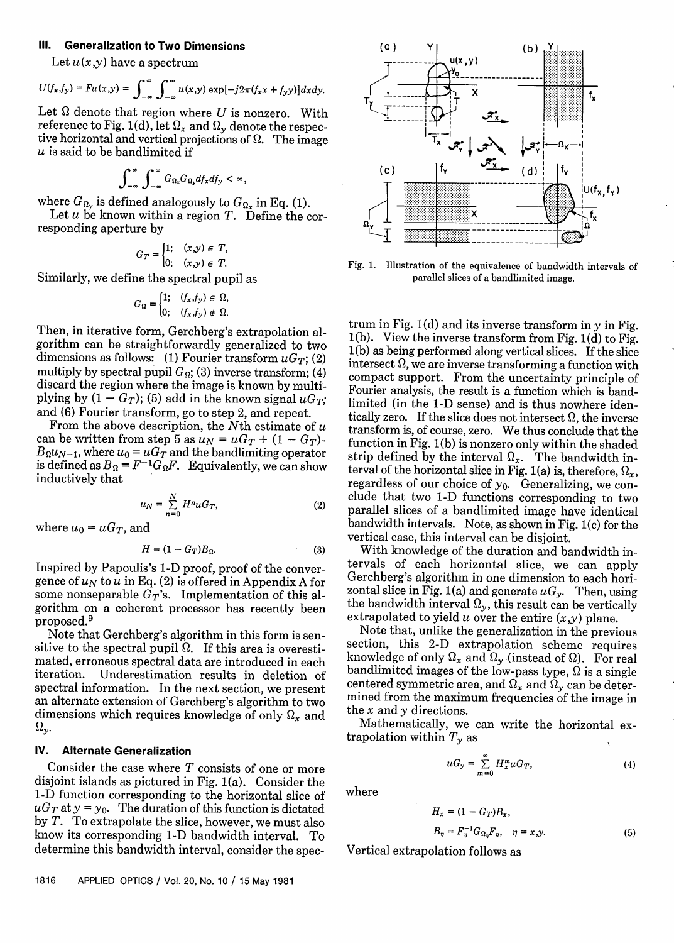# **Ill. Generalization to Two Dimensions**

Let  $u(x,y)$  have a spectrum

$$
U(f_x,f_y)=Fu(x,y)=\int_{-\infty}^{\infty}\int_{-\infty}^{\infty}u(x,y)\exp[-j2\pi(f_xx+f_yy)]dxdy.
$$

Let  $\Omega$  denote that region where U is nonzero. With reference to Fig. 1(d), let  $\Omega_x$  and  $\Omega_y$  denote the respective horizontal and vertical projections of  $\Omega$ . The image  $u$  is said to be bandlimited if

$$
\int_{-\infty}^{\infty}\int_{-\infty}^{\infty}G_{\Omega_x}G_{\Omega_y}df_xdf_y<\infty,
$$

where  $G_{\Omega_{\mathbf{y}}}$  is defined analogously to  $G_{\Omega_{\mathbf{x}}}$  in Eq. (1).

Let  $u$  be known within a region  $T$ . Define the corresponding aperture by

$$
G_T = \begin{cases} 1; & (x,y) \in T, \\ 0; & (x,y) \in T. \end{cases}
$$

Similarly, we define the spectral pupil as

$$
G_{\Omega} = \begin{cases} 1; & (f_x, f_y) \in \Omega, \\ 0; & (f_x, f_y) \notin \Omega. \end{cases}
$$

Then, in iterative form, Gerchberg's extrapolation algorithm can be straightforwardly generalized to two dimensions as follows: (1) Fourier transform  $\mu G_T$ ; (2) multiply by spectral pupil  $G_{\Omega}$ ; (3) inverse transform; (4) discard the region where the image is known by multiplying by  $(1 - G_T)$ ; (5) add in the known signal  $\mu G_T$ ; and (6) Fourier transform, go to step 2, and repeat.

From the above description, the Nth estimate of  $u$ can be written from step 5 as  $u_N = uG_T + (1 - G_T)$ - $B_0 u_{N-1}$ , where  $u_0 = u G_T$  and the bandlimiting operator is defined as  $B_{\Omega} = F^{-1} G_{\Omega} F$ . Equivalently, we can show inductively that

$$
u_N = \sum_{n=0}^{N} H^n u G_T,
$$
\n(2)

where  $u_0 = uG_T$ , and

$$
H = (1 - G_T)B_{\Omega}.
$$
 (3)

Inspired by Papoulis's 1-D proof, proof of the convergence of  $u_N$  to u in Eq. (2) is offered in Appendix A for some nonseparable  $G_T$ 's. Implementation of this algorithm on a coherent processor has recently been proposed.9

Note that Gerchberg's algorithm in this form is sensitive to the spectral pupil  $\Omega$ . If this area is overestimated, erroneous spectral data are introduced in each iteration. Underestimation results in deletion of spectral information. In the next section, we present an alternate extension of Gerchberg's algorithm to two dimensions which requires knowledge of only  $\Omega_r$  and  $\Omega_{\mathbf{y}}$ .

## **IV. Alternate Generalization**

Consider the case where  $T$  consists of one or more disjoint islands as pictured in Fig. 1(a). Consider the 1-D function corresponding to the horizontal slice of  $uG_T$  at  $y = y_0$ . The duration of this function is dictated by T. To extrapolate the slice, however, we must also know its corresponding 1-D bandwidth interval. To determine this bandwidth interval, consider the spec-



Fig. 1. Illustration of the equivalence of bandwidth intervals of parallel slices of a bandlimited image.

trum in Fig.  $1(d)$  and its inverse transform in y in Fig. 1(b). View the inverse transform from Fig. 1(d) to Fig. 1(b) as being performed along vertical slices. If the slice intersect  $\Omega$ , we are inverse transforming a function with compact support. From the uncertainty principle of Fourier analysis, the result is a function which is bandlimited (in the 1-D sense) and is thus nowhere identically zero. If the slice does not intersect  $\Omega$ , the inverse transform is, of course, zero. We thus conclude that the function in Fig. 1(b) is nonzero only within the shaded strip defined by the interval  $\Omega_x$ . The bandwidth interval of the horizontal slice in Fig. 1(a) is, therefore,  $\Omega_x$ , regardless of our choice of  $y_0$ . Generalizing, we conclude that two 1-D functions corresponding to two parallel slices of a bandlimited image have identical bandwidth intervals. Note, as shown in Fig. 1(c) for the vertical case, this interval can be disjoint.

With knowledge of the duration and bandwidth intervals of each horizontal slice, we can apply Gerchberg's algorithm in one dimension to each horizontal slice in Fig. 1(a) and generate  $uG_v$ . Then, using the bandwidth interval  $\Omega_y$ , this result can be vertically extrapolated to yield u over the entire  $(x,y)$  plane.<br>Note that, unlike the generalization in the previous

section, this 2-D extrapolation scheme requires knowledge of only  $\Omega_x$  and  $\Omega_y$  (instead of  $\Omega$ ). For real bandlimited images of the low-pass type,  $\Omega$  is a single centered symmetric area, and  $\Omega_x$  and  $\Omega_y$  can be determined from the maximum frequencies of the image in the x and y directions.

Mathematically, we can write the horizontal extrapolation within  $T_{\gamma}$  as

$$
uG_y = \sum_{m=0}^{\infty} H_x^m uG_T, \qquad (4)
$$

where

$$
H_x = (1 - G_T)B_x,
$$
  
\n
$$
B_{\eta} = F_{\eta}^{-1}G_{\Omega_{\eta}}F_{\eta}, \quad \eta = x, y.
$$
\n(5)

Vertical extrapolation follows as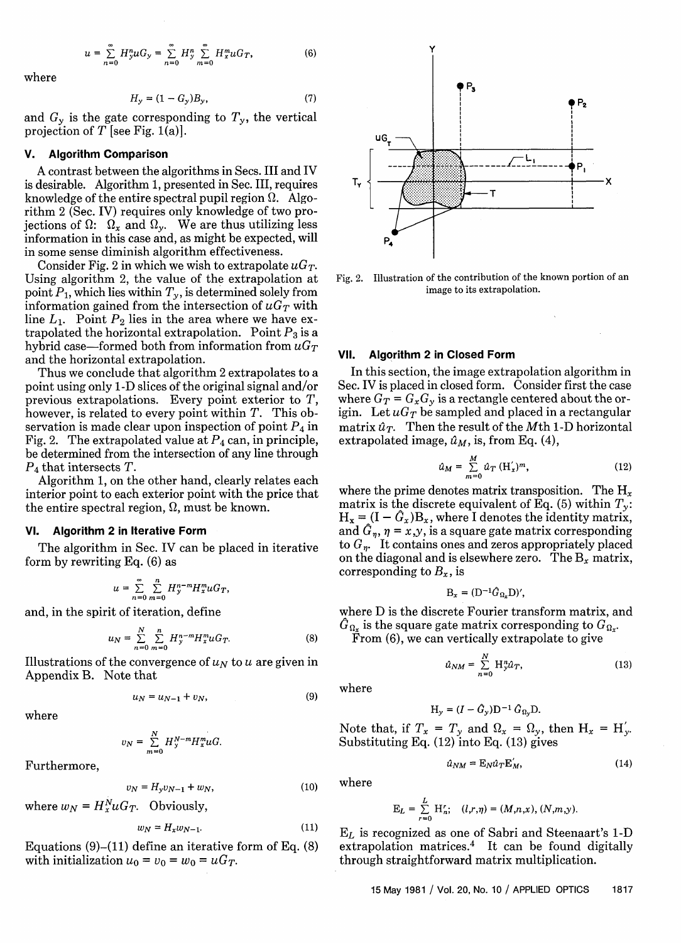$$
u = \sum_{n=0}^{\infty} H_y^n u G_y = \sum_{n=0}^{\infty} H_y^n \sum_{m=0}^{\infty} H_x^m u G_T,
$$
 (6)

where

$$
H_y = (1 - G_y)B_y,\t\t(7)
$$

and  $G<sub>y</sub>$  is the gate corresponding to  $T<sub>y</sub>$ , the vertical projection of  $T$  [see Fig. 1(a)].

#### **V. Algorithm Comparison**

A contrast between the algorithms in Secs. III and IV is desirable. Algorithm 1, presented in Sec. III, requires knowledge of the entire spectral pupil region  $\Omega$ . Algorithm 2 (Sec. IV) requires only knowledge of two projections of  $\Omega$ :  $\Omega_x$  and  $\Omega_y$ . We are thus utilizing less information in this case and, as might be expected, will in some sense diminish algorithm effectiveness.

Consider Fig. 2 in which we wish to extrapolate  $\mu G_T$ . Using algorithm 2, the value of the extrapolation at point  $P_1$ , which lies within  $T_y$ , is determined solely from information gained from the intersection of  $\mu G_T$  with line  $L_1$ . Point  $P_2$  lies in the area where we have extrapolated the horizontal extrapolation. Point  $P_3$  is a hybrid case—formed both from information from  $\mu G_T$ and the horizontal extrapolation.

Thus we conclude that algorithm 2 extrapolates to a point using only 1-D slices of the original signal and/or previous extrapolations. Every point exterior to *T,* however, is related to every point within T. This observation is made clear upon inspection of point *P4* in Fig. 2. The extrapolated value at *P4* can, in principle, be determined from the intersection of any line through *P4* that intersects T.

Algorithm 1, on the other hand, clearly relates each interior point to each exterior point with the price that the entire spectral region,  $\Omega$ , must be known.

#### **VI. Algorithm 2 in Iterative Form**

The algorithm in Sec. IV can be placed in iterative form by rewriting Eq. (6) as

$$
u=\sum_{n=0}^\infty\sum_{m=0}^nH_y^{n-m}H_x^muG_T,
$$

and, in the spirit of iteration, define

$$
u_N = \sum_{n=0}^{N} \sum_{m=0}^{n} H_y^{n-m} H_x^m u G_T.
$$
 (8)

Illustrations of the convergence of *UN* to u are given in Appendix B. Note that

$$
u_N = u_{N-1} + v_N, \tag{9}
$$

where

$$
v_N = \sum_{m=0}^N H_y^{N-m} H_x^m uG.
$$

Furthermore,

$$
v_N = H_y v_{N-1} + w_N, \t\t(10)
$$

where  $w_N = H_x^N u G_T$ . Obviously,

$$
w_N = H_x w_{N-1}.\tag{11}
$$

Equations  $(9)$ – $(11)$  define an iterative form of Eq.  $(8)$ with initialization  $u_0 = v_0 = w_0 = uG_T$ .



Fig. 2. Illustration of the contribution of the known portion of an image to its extrapolation.

#### **VII. Algorithm 2 in Closed Form**

In this section, the image extrapolation algorithm in Sec. IV is placed in closed form. Consider first the case where  $G_T = G_x G_y$  is a rectangle centered about the origin. Let  $uG_T$  be sampled and placed in a rectangular matrix  $\hat{u}_T$ . Then the result of the Mth 1-D horizontal extrapolated image,  $\hat{u}_M$ , is, from Eq. (4),

$$
\hat{u}_M = \sum_{m=0}^{M} \hat{u}_T \left( \mathbf{H}_x' \right)^m, \tag{12}
$$

where the prime denotes matrix transposition. The  $H_x$ matrix is the discrete equivalent of Eq. (5) within *Ty:*  $H_x = (I - \hat{G}_x)B_x$ , where I denotes the identity matrix, and  $\hat{G}_n$ ,  $\eta = x,y$ , is a square gate matrix corresponding to  $G_n$ . It contains ones and zeros appropriately placed on the diagonal and is elsewhere zero. The  $B_x$  matrix, corresponding to  $B_x$ , is

$$
\mathbf{B}_{x} = (\mathbf{D}^{-1}\hat{G}_{\Omega_{x}}\mathbf{D})',
$$

where D is the discrete Fourier transform matrix, and  $\hat{G}_{\Omega_{\pmb{x}}}$  is the square gate matrix corresponding to  $G_{\Omega_{\pmb{x}^*}}$ 

From (6), we can vertically extrapolate to give

$$
\hat{u}_{NM} = \sum_{n=0}^{N} \mathbf{H}_{y}^{n} \hat{u}_{T},\tag{13}
$$

where

$$
\mathbf{H}_y = (I - \hat{G}_y)\mathbf{D}^{-1}\,\hat{G}_{\Omega_y}\mathbf{D}.
$$

Note that, if  $T_x = T_y$  and  $\Omega_x = \Omega_y$ , then  $H_x = H'_y$ . Substituting Eq. (12) into Eq. (13) gives

$$
\hat{u}_{NM} = \mathbf{E}_N \hat{u}_T \mathbf{E}_M',\tag{14}
$$

where

$$
E_L = \sum_{r=0}^{L} H'_n; \quad (l,r,\eta) = (M,n,x), (N,m,y).
$$

 $E_L$  is recognized as one of Sabri and Steenaart's 1-D extrapolation matrices.<sup>4</sup> It can be found digitally through straightforward matrix multiplication.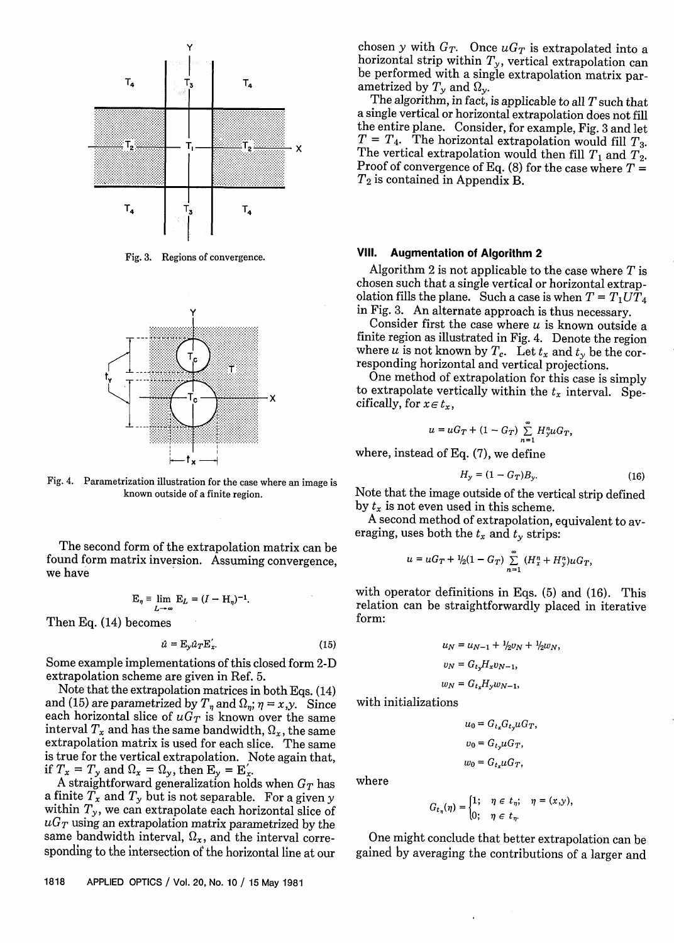

Fig. 3. Regions of convergence.



Fig. 4. Parametrization illustration for the case where an image is known outside of a finite region.

The second form of the extrapolation matrix can be found form matrix inversion. Assuming convergence, we have

$$
\mathbf{E}_{\eta} \equiv \lim_{L \to \infty} \mathbf{E}_{L} = (I - \mathbf{H}_{\eta})^{-1}
$$

Then Eq. (14) becomes

$$
\hat{u} = \mathbf{E}_y \hat{u}_T \mathbf{E}_x'.
$$
 (15)

Some example implementations of this closed form 2-D extrapolation scheme are given in Ref. 5.

Note that the extrapolation matrices in both Eqs. (14) and (15) are parametrized by  $T_{\eta}$  and  $\Omega_{\eta}$ ;  $\eta = x,y$ . Since each horizontal slice of  $uG_T$  is known over the same interval  $T_x$  and has the same bandwidth,  $\Omega_x$ , the same extrapolation matrix is used for each slice. The same is true for the vertical extrapolation. Note again that, if  $T_x = T_y$  and  $\Omega_x = \Omega_y$ , then  $E_y = E'_x$ .

A straightforward generalization holds when  $G_T$  has a finite  $T_x$  and  $T_y$  but is not separable. For a given y within  $T_y$ , we can extrapolate each horizontal slice of  $uG_T$  using an extrapolation matrix parametrized by the same bandwidth interval,  $\Omega_x$ , and the interval corresponding to the intersection of the horizontal line at our

chosen y with  $G_T$ . Once  $uG_T$  is extrapolated into a horizontal strip within  $T_y$ , vertical extrapolation can be performed with a single extrapolation matrix par-<br>ametrized by  $T_y$  and  $\Omega_y$ .

The algorithm, in fact, is applicable to all  $T$  such that a single vertical or horizontal extrapolation does not fill the entire plane. Consider, for example, Fig. 3 and let  $T = T_4$ . The horizontal extrapolation would fill  $T_3$ . The vertical extrapolation would then fill  $T_1$  and  $T_2$ .<br>Proof of convergence of Eq. (8) for the case where  $T = T_2$  is contained in Appendix B.

## **Vil. Augmentation of Algorithm 2**

Algorithm 2 is not applicable to the case where  $T$  is chosen such that a single vertical or horizontal extrap-<br>olation fills the plane. Such a case is when  $T = T_1 U T_4$ in Fig. 3. An alternate approach is thus necessary.

Consider first the case where  $u$  is known outside a finite region as illustrated in Fig. 4. Denote the region where u is not known by  $T_c$ . Let  $t_x$  and  $t_y$  be the corresponding horizontal and vertical projections.

One method of extrapolation for this case is simply to extrapolate vertically within the  $t_x$  interval. Specifically, for  $x \in t_x$ ,

$$
u=uG_T+(1-G_T)\sum_{n=1}^{\infty}H_y^n uG_T
$$

where, instead of Eq. (7), we define

$$
H_{y} = (1 - G_{T})B_{y}.
$$
 (16)

Note that the image outside of the vertical strip defined by  $t_x$  is not even used in this scheme.

A second method of extrapolation, equivalent to averaging, uses both the  $t_x$  and  $t_y$  strips:

$$
u = uG_T + \frac{1}{2}(1 - G_T) \sum_{n=1}^{\infty} (H_x^n + H_y^n) uG_T,
$$

with operator definitions in Eqs. (5) and (16). This relation can be straightforwardly placed in iterative form:

$$
u_N = u_{N-1} + \frac{1}{2}v_N + \frac{1}{2}w_N,
$$
  
\n
$$
v_N = G_{t_2}H_xv_{N-1},
$$
  
\n
$$
w_N = G_{t_x}H_yw_{N-1},
$$

with initializations

$$
u_0 = G_{t_x} G_{t_y} u G_T,
$$
  

$$
v_0 = G_{t_y} u G_T,
$$
  

$$
w_0 = G_{t_x} u G_T,
$$

where

$$
G_{t_{\eta}}(\eta) = \begin{cases} 1; & \eta \in t_{\eta}; \\ 0; & \eta \in t_{\eta}. \end{cases} \quad \eta = (x,y),
$$

One might conclude that better extrapolation can be gained by averaging the contributions of a larger and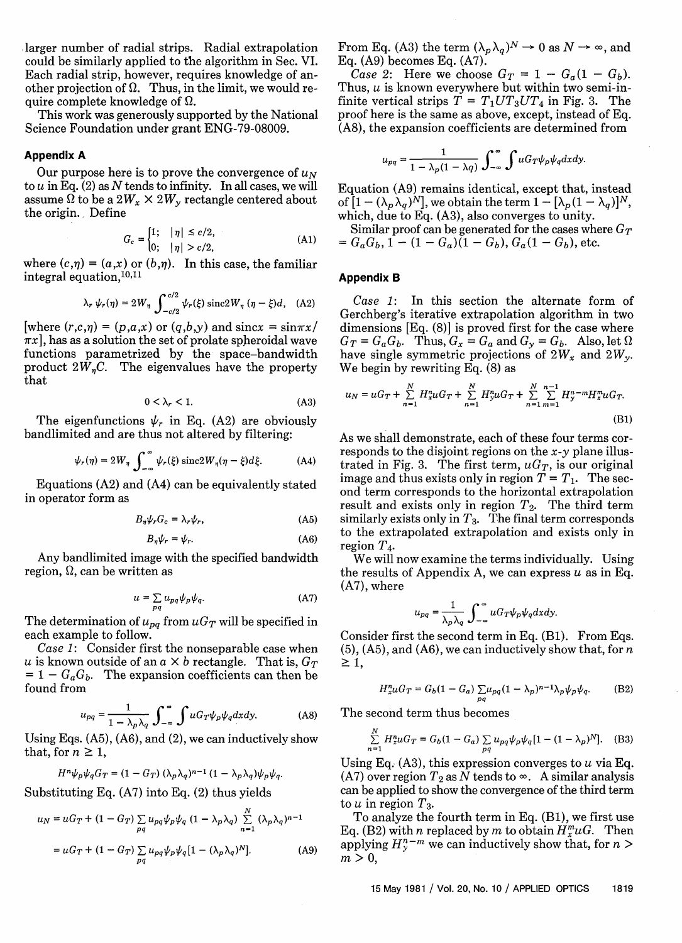-larger number of radial strips. Radial extrapolation could be similarly applied to the algorithm in Sec. VI. Each radial strip, however, requires knowledge of another projection of  $\Omega$ . Thus, in the limit, we would require complete knowledge of  $\Omega$ .

This work was generously supported by the National Science Foundation under grant ENG-79-08009.

## **Appendix A**

Our purpose here is to prove the convergence of  $u_N$ to  $u$  in Eq. (2) as  $N$  tends to infinity. In all cases, we will assume  $\Omega$  to be a 2 $W_x \times 2W_y$  rectangle centered about the origin.. Define

$$
G_c = \begin{cases} 1; & |\eta| \le c/2, \\ 0; & |\eta| > c/2, \end{cases}
$$
 (A1)

where  $(c,n) = (a,x)$  or  $(b,n)$ . In this case, the familiar integral equation,  $10,11$ 

$$
\lambda_r \psi_r(\eta) = 2W_\eta \int_{-c/2}^{c/2} \psi_r(\xi) \operatorname{sinc} 2W_\eta (\eta - \xi) d, \quad (A2)
$$

[where  $(r,c,\eta) = (p,a,x)$  or  $(q,b,y)$  and sincx = sin $\pi x$ /  $\pi x$ , has as a solution the set of prolate spheroidal wave functions parametrized by the space-bandwidth product  $2W<sub>n</sub>C$ . The eigenvalues have the property that

$$
0 < \lambda_r < 1. \tag{A3}
$$

The eigenfunctions  $\psi_r$  in Eq. (A2) are obviously bandlimited and are thus not altered by filtering:

$$
\psi_r(\eta) = 2W_\eta \int_{-\infty}^{\infty} \psi_r(\xi) \operatorname{sinc} 2W_\eta(\eta - \xi) d\xi.
$$
 (A4)

Equations (A2) and (A4) can be equivalently stated in operator form as

$$
B_{\eta}\psi_r G_c = \lambda_r \psi_r, \tag{A5}
$$

$$
B_{\eta}\psi_r = \psi_r. \tag{A6}
$$

Any bandlimited image with the specified bandwidth region,  $\Omega$ , can be written as

$$
u = \sum_{pq} u_{pq} \psi_p \psi_q. \tag{A7}
$$

The determination of  $u_{pq}$  from  $uG_T$  will be specified in each example to follow.

*Case 1:* Consider first the nonseparable case when u is known outside of an  $a \times b$  rectangle. That is,  $G_T$  $= 1 - G_a G_b$ . The expansion coefficients can then be found from

$$
u_{pq} = \frac{1}{1 - \lambda_p \lambda_q} \int_{-\infty}^{\infty} \int u G_T \psi_p \psi_q dx dy.
$$
 (A8)

Using Eqs. (A5), (A6), and (2), we can inductively show that, for  $n \geq 1$ ,

$$
H^{n}\psi_{p}\psi_{q}G_{T}=(1-G_{T})\; (\lambda_{p}\lambda_{q})^{n-1}\, (1-\lambda_{p}\lambda_{q})\psi_{p}\psi_{q}.
$$

Substituting Eq. (A7) into Eq. (2) thus yields

$$
u_N = uG_T + (1 - G_T) \sum_{pq} u_{pq} \psi_p \psi_q (1 - \lambda_p \lambda_q) \sum_{n=1}^N (\lambda_p \lambda_q)^{n-1}
$$
  
=  $uG_T + (1 - G_T) \sum_{pq} u_{pq} \psi_p \psi_q [1 - (\lambda_p \lambda_q)^N].$  (A9)

From Eq. (A3) the term  $(\lambda_p \lambda_q)^N \to 0$  as  $N \to \infty$ , and Eq. (A9) becomes Eq. (A7).

*Case 2:* Here we choose  $G_T = 1 - G_a(1 - G_b)$ . Thus,  $u$  is known everywhere but within two semi-infinite vertical strips  $T = T_1 U T_3 U T_4$  in Fig. 3. The proof here is the same as above, except, instead of Eq. (A8), the expansion coefficients are determined from

$$
u_{pq} = \frac{1}{1 - \lambda_p (1 - \lambda q)} \int_{-\infty}^{\infty} \int u G_T \psi_p \psi_q dx dy.
$$

Equation (A9) remains identical, except that, instead of  $[1 - (\lambda_p \lambda_q)^N]$ , we obtain the term  $1 - [\lambda_p(1 - \lambda_q)]^N$ , which, due to Eq. (A3), also converges to unity.

Similar proof can be generated for the cases where  $G_T$  $= G_a G_b$ ,  $\hat{1} - (1 - G_a)(1 - G_b)$ ,  $G_a (1 - G_b)$ , etc.

## **Appendix B**

*Case 1:* In this section the alternate form of Gerchberg's iterative extrapolation algorithm in two dimensions [Eq. (8)] is proved first for the case where  $G_T = G_a G_b$ . Thus,  $G_x = G_a$  and  $G_y = G_b$ . Also, let have single symmetric projections of  $2W_x$  and  $2W_y$ . We begin by rewriting Eq. (8) as

$$
u_N = uG_T + \sum_{n=1}^{N} H_x^n uG_T + \sum_{n=1}^{N} H_y^n uG_T + \sum_{n=1}^{N} \sum_{m=1}^{n-1} H_y^{n-m} H_x^m uG_T.
$$
\n(B1)

As we shall demonstrate, each of these four terms corresponds to the disjoint regions on the  $x-y$  plane illustrated in Fig. 3. The first term,  $uG_T$ , is our original image and thus exists only in region  $T = T_1$ . The second term corresponds to the horizontal extrapolation result and exists only in region  $T_2$ . The third term similarly exists only in  $T_3$ . The final term corresponds to the extrapolated extrapolation and exists only in region  $T_A$ .

We will now examine the terms individually. Using the results of Appendix A, we can express  $u$  as in Eq. (A7), where

$$
u_{pq} = \frac{1}{\lambda_p \lambda_q} \int_{-\infty}^{\infty} u G_T \psi_p \psi_q dx dy.
$$

 $Consider first the second term in Eq. (B1). From Eqs.$  $(5)$ ,  $(A5)$ , and  $(A6)$ , we can inductively show that, for n  $\geq 1$ ,

$$
H_{x}^{n}uG_{T}=G_{b}(1-G_{a})\sum_{pq}u_{pq}(1-\lambda_{p})^{n-1}\lambda_{p}\psi_{p}\psi_{q}.
$$
 (B2)

The second term thus becomes

$$
\sum_{n=1}^{N} H_{x}^{n} u G_{T} = G_{b} (1 - G_{a}) \sum_{pq} u_{pq} \psi_{p} \psi_{q} [1 - (1 - \lambda_{p})^{N}]. \quad (B3)
$$

Using Eq.  $(A3)$ , this expression converges to u via Eq. (A7) over region  $T_2$  as N tends to  $\infty$ . A similar analysis can be applied to show the convergence of the third term to u in region  $T_3$ .

To analyze the fourth term in Eq. (Bi), we first use Eq. (B2) with n replaced by m to obtain  $H^m_u u$ G. Then applying  $H_{\nu}^{n-m}$  we can inductively show that, for  $n >$  $m > 0$ ,